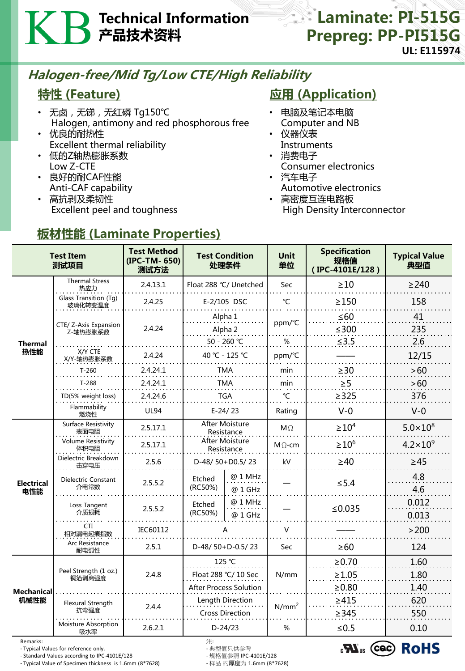## Technical Information 产品技术资料

### **Laminate: PI-515G** Prepreg: PP-PI515G UL: E115974

### Halogen-free/Mid Tg/Low CTE/High Reliability

### 特性 (Feature)

- 无卤 , 无锑 , 无红磷 Tg150℃ Halogen, antimony and red phosphorous free
- 优良的耐热性 Excellent thermal reliability
- 低的Z轴热膨胀系数 Low Z-CTE
- 良好的耐CAF性能 Anti-CAF capability
- 高抗剥及柔韧性 Excellent peel and toughness

### **应用 (Application)**

- 电脑及笔记本电脑 Computer and NB
- 仪器仪表 Instruments
- 消费电子
	- Consumer electronics
- 汽车电子 Automotive electronics
- 高密度互连电路板 High Density Interconnector

# 板材性能 (Laminate Properties)

| <b>Test Item</b><br>测试项目  |                                    | <b>Test Method</b><br>(IPC-TM-650)<br>测试方法 | <b>Test Condition</b><br>处理条件       |                    | <b>Unit</b><br>单位 | <b>Specification</b><br>规格值<br>(IPC-4101E/128) | <b>Typical Value</b><br>典型值 |
|---------------------------|------------------------------------|--------------------------------------------|-------------------------------------|--------------------|-------------------|------------------------------------------------|-----------------------------|
| <b>Thermal</b><br>热性能     | <b>Thermal Stress</b><br>热应力       | 2.4.13.1                                   | Float 288 °C/ Unetched              |                    | Sec               | $\geq 10$                                      | $\geq$ 240                  |
|                           | Glass Transition (Tg)<br>玻璃化转变温度   | 2.4.25                                     | E-2/105 DSC                         |                    | $^{\circ}$ C      | $\geq$ 150                                     | 158                         |
|                           | CTE/ Z-Axis Expansion<br>Z-轴热膨胀系数  | 2.4.24                                     | Alpha 1                             |                    | ppm/°C            | $\leq 60$                                      | 41                          |
|                           |                                    |                                            | Alpha 2                             |                    |                   | $≤300$                                         | 235                         |
|                           |                                    |                                            | 50 - 260 °C                         |                    | %                 | $≤3.5$                                         | 2.6                         |
|                           | X/Y CTE<br>X/Y-轴热膨胀系数              | 2.4.24                                     | 40 °C - 125 °C                      |                    | ppm/°C            |                                                | 12/15                       |
|                           | $T-260$                            | 2.4.24.1                                   | <b>TMA</b>                          |                    | min               | $\geq$ 30                                      | >60                         |
|                           | $T-288$                            | 2.4.24.1                                   | TMA                                 |                    | min               | $\geq 5$                                       | >60                         |
|                           | TD(5% weight loss)                 | 2.4.24.6                                   | <b>TGA</b>                          |                    | °C                | $\geq$ 325                                     | 376                         |
|                           | Flammability<br>燃烧性                | <b>UL94</b>                                | $E-24/23$                           |                    | Rating            | $V - 0$                                        | $V-0$                       |
| <b>Electrical</b><br>电性能  | <b>Surface Resistivity</b><br>表面电阻 | 2.5.17.1                                   | <b>After Moisture</b><br>Resistance |                    | $M\Omega$         | $\geq 10^4$                                    | $5.0 \times 10^8$           |
|                           | <b>Volume Resistivity</b><br>体积电阻  | 2.5.17.1                                   | After Moisture<br>Resistance        |                    | $M\Omega$ -cm     | $\geq$ 10 <sup>6</sup>                         | $4.2 \times 10^{9}$         |
|                           | Dielectric Breakdown<br>击穿电压       | 2.5.6                                      | D-48/50+D0.5/23                     |                    | kV                | $\geq 40$                                      | $\geq 45$                   |
|                           | Dielectric Constant<br>介电常数        | 2.5.5.2                                    | Etched<br>(RC50%)                   | @ 1 MHz<br>@ 1 GHz |                   | $\leq$ 5.4                                     | 4.8<br>4.6                  |
|                           | Loss Tangent<br>介质损耗               | 2.5.5.2                                    | Etched<br>(RC50%)                   | @ 1 MHz<br>@ 1 GHz |                   | ≤ $0.035$                                      | 0.012<br>0.013              |
|                           | <b>CTI</b><br>相对漏电起痕指数             | IEC60112                                   |                                     |                    | V                 |                                                | >200                        |
|                           | Arc Resistance<br>耐电弧性             | 2.5.1                                      | D-48/50+D-0.5/23                    |                    | Sec               | $\geq 60$                                      | 124                         |
| <b>Mechanical</b><br>机械性能 | Peel Strength (1 oz.)<br>铜箔剥离强度    | 2.4.8                                      | 125 °C                              |                    | N/mm              | $\ge 0.70$                                     | 1.60                        |
|                           |                                    |                                            | Float 288 °C/ 10 Sec                |                    |                   | $\geq 1.05$                                    | 1.80                        |
|                           |                                    |                                            | <b>After Process Solution</b>       |                    |                   | $\geq 0.80$                                    | 1.40                        |
|                           | Flexural Strength<br>抗弯强度          | 2.4.4                                      | Length Direction                    |                    | N/mm <sup>2</sup> | $\geq 415$                                     | 620                         |
|                           | Moisture Absorption<br>吸水率         | 2.6.2.1                                    | <b>Cross Direction</b><br>$D-24/23$ |                    | %                 | $\geq$ 345<br>$≤ 0.5$                          | 550<br>0.10                 |

Remarks: 注:

- Typical Values for reference only.<br>- Standard Values according to IPC-4101E/128 - 规格值参照 IPC-4101E/128

- Standard Values according to IPC-4101E/128 - - 规格值参照 IPC-4101E/128<br>- Typical Value of Specimen thickness is 1.6mm (8\*7628) - 样品 的厚度为 1.6mm (8\*7628) - Typical Value of Specimen thickness is 1.6mm (8\*7628)